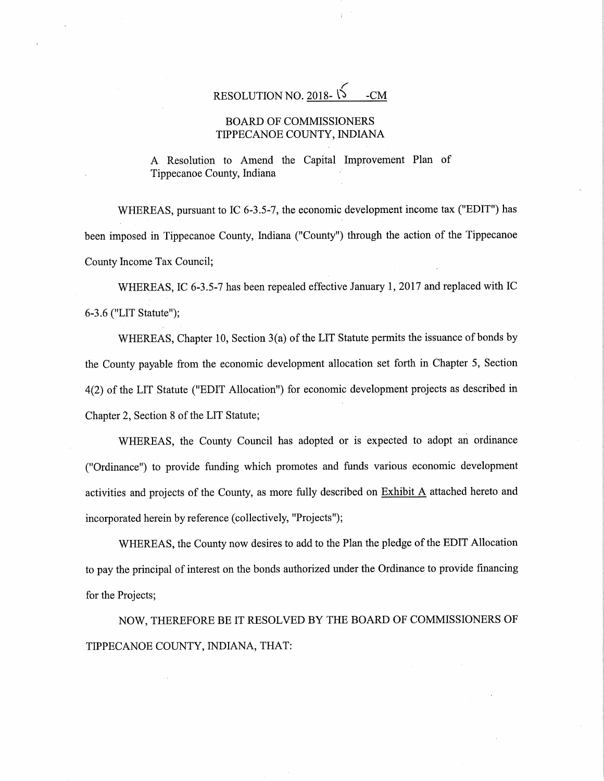$\sqrt{2}$ RESOLUTION NO. 2018-  $\sqrt{5}$  -CM

## BOARD OF COMMISSIONERS TIPPECANOE COUNTY, INDIANA

A Resolution to Amend the Capital Improvement Plan of Tippecanoe County, Indiana

WHEREAS, pursuant to IC 6-3.5-7, the economic development income tax ("EDIT") has been imposed in Tippecanoe County, Indiana ("County") through the action of the Tippecanoe County Income Tax Council;

WHEREAS, IC 6-3.5-7 has been repealed effective January 1, <sup>2017</sup> and replaced with IC 6-3.6 ("LIT Statute"); 7

WHEREAS, Chapter 10, Section 3(a) of the LIT Statute permits the issuance of bonds by the County payable from the economic development allocation set forth in Chapter 5, Section 4(2) of the LIT Statute ("EDIT Allocation") for economic development projects as described in Chapter 2, Section 8 of the LIT Statute;

WHEREAS, the County Council has adopted or is expected to adopt an ordinance ("Ordinance") to provide funding which promotes and funds various economic development activities and projects of the County, as more fully described on Exhibit <sup>A</sup> attached hereto and incorporated herein by reference (collectively, "Projects");

WHEREAS, the County now desires to add to the Plan the pledge of the EDIT Allocation to pay the principal of interest on the bonds authorized under the Ordinance to provide financing for the Projects;

NOW, THEREFORE BE IT RESOLVED BY THE BOARD OF COMMISSIONERS OF TIPPECANOE COUNTY, INDIANA, THAT: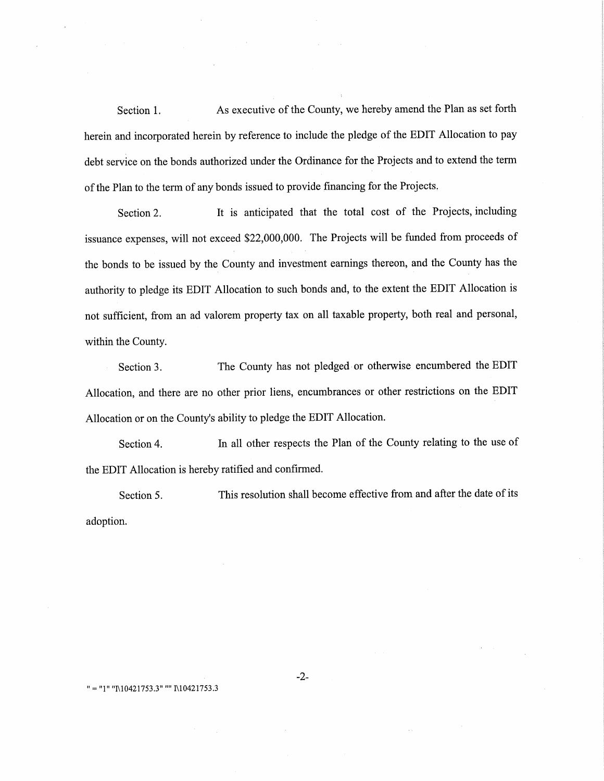Section 1. As executive of the County, we hereby amend the Plan as set forth herein and incorporated herein by reference to include the pledge of the EDIT Allocation to pay debt service on the bonds authorized under the Ordinance for the Projects and to extend the term of the Plan to the term of any bonds issued to provide financing for the Projects.

Section 2. It is anticipated that the total cost of the Projects, including issuance expenses, will not exceed \$22,000,000. The Projects will be funded from proceeds of the bonds to be issued by the County and investment earnings thereon, and the County has the authority to pledge its EDIT Allocation to such bonds and, to the extent the EDIT Allocation is not sufficient, from an ad valorem property tax on all taxable property, both real and personal, within the County.

Section 3. The County has not pledged or otherwise encumbered the EDIT Allocation, and there are no other prior liens, encumbrances or other restrictions on the EDIT Allocation or on the County's ability to pledge the EDIT Allocation.

Section 4. In all other respects the Plan of the County relating to the use of the EDIT Allocation is hereby ratified and confirmed.

Section 5. This resolution shall become effective from and after the date of its adoption.

## " <sup>=</sup> "1'I "I\10421753.3" "" I\10421753.3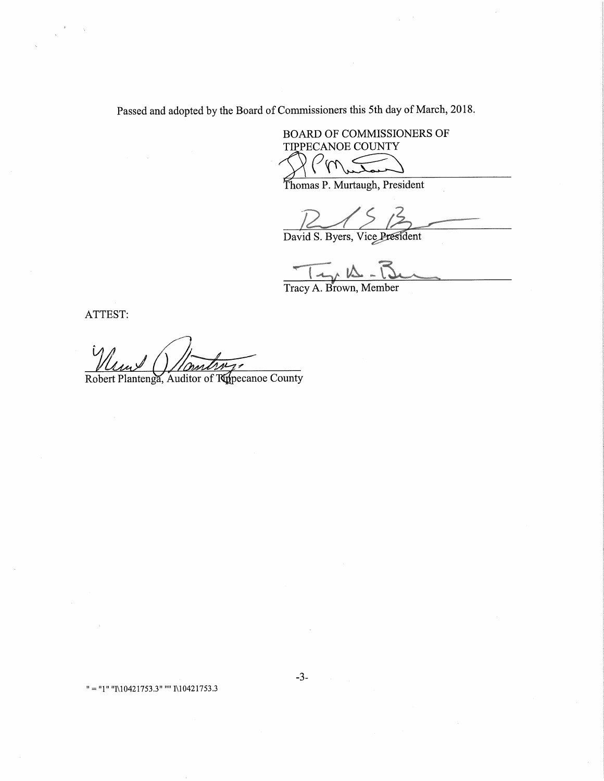Passed and adopted by the Board of Commissioners this 5th day of March, 2018.

 $-3-$ 

BOARD OF COMMISSIONERS OF TIPPECANOE COUNTY  $\overline{\rho}_{\mathsf{M}}$ 

Thomas P. Murtaugh, President

David S. Byers, Vice President

 $\overline{\phantom{a}}$   $\wedge$   $\overline{\wedge}$   $\overline{\wedge}$ 

Tracy A. Brown, Member

ATTEST:

Robert Plantenga, Auditor of Ripecanoe County

" = "1" "I\10421753.3" "" I\10421753.3